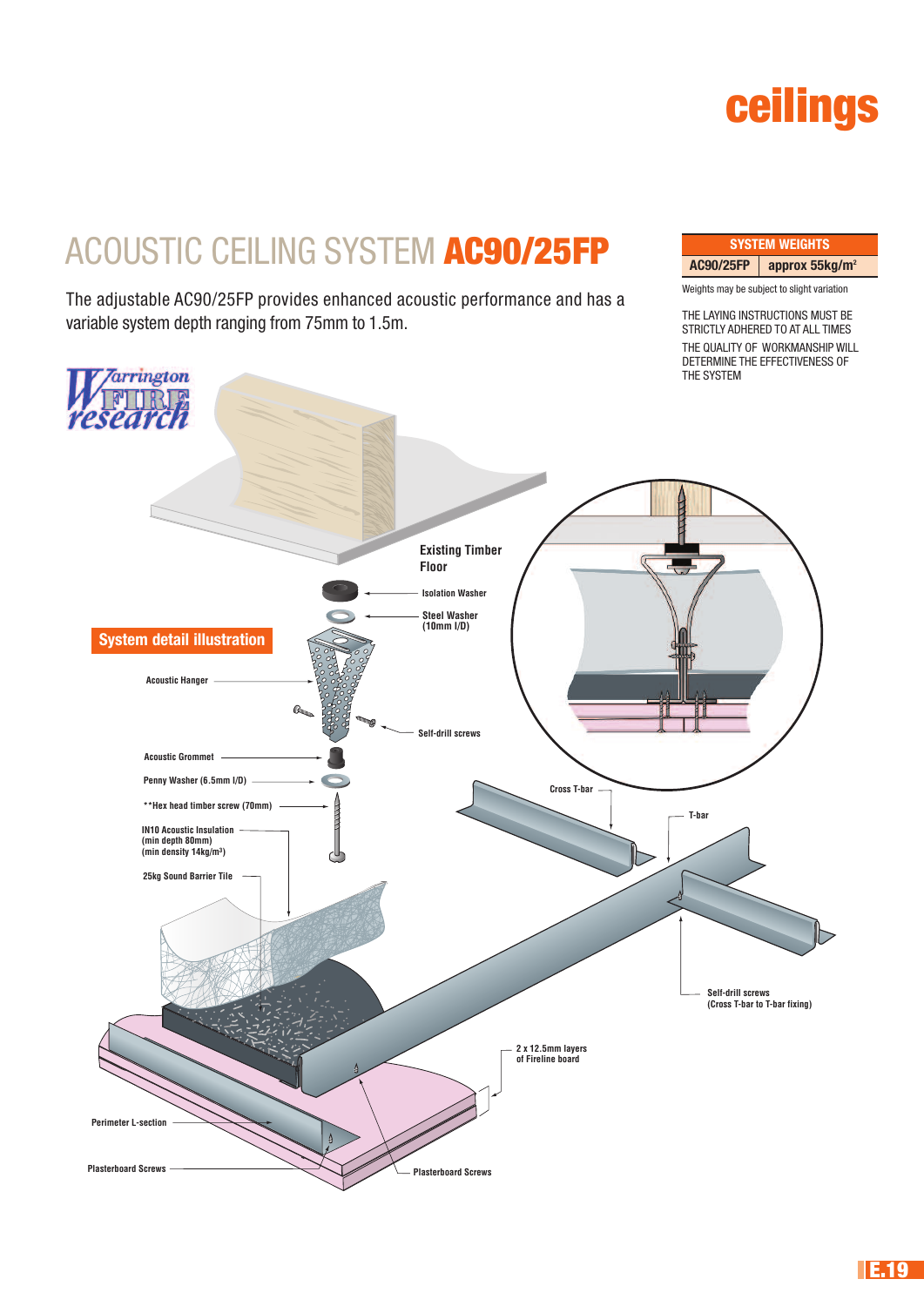## **ceilings**

## ACOUSTIC CEILING SYSTEM **AC90/25FP**

The adjustable AC90/25FP provides enhanced acoustic performance and has a variable system depth ranging from 75mm to 1.5m.

**SYSTEM WEIGHTS AC90/25FP approx 55kg/m2**

Weights may be subject to slight variation

THE LAYING INSTRUCTIONS MUST BE STRICTLY ADHERED TO AT ALL TIMES THE QUALITY OF WORKMANSHIP WILL DETERMINE THE EFFECTIVENESS OF THE SYSTEM